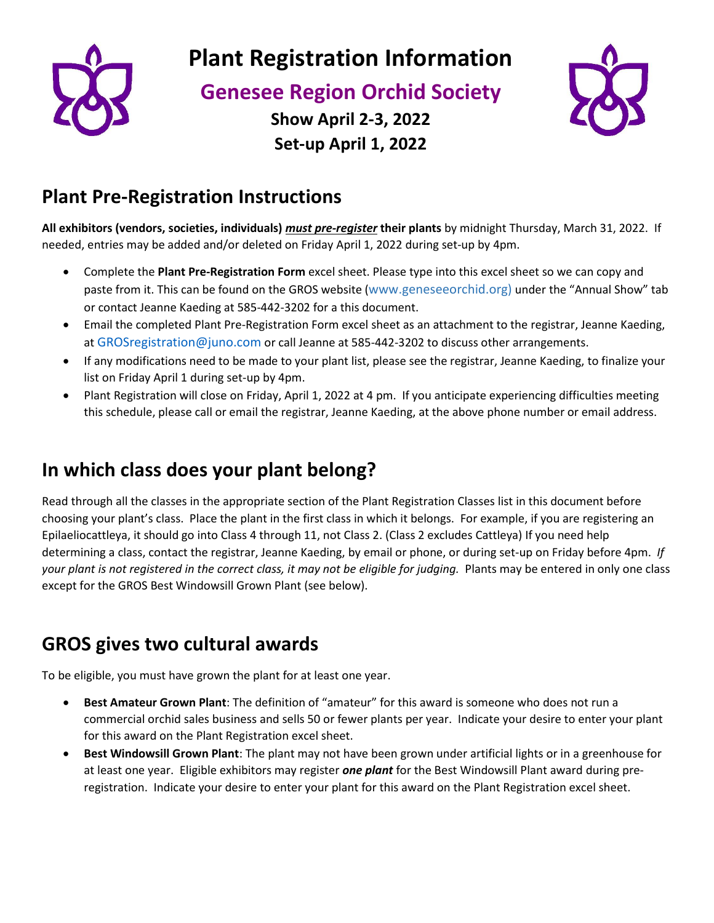

**Plant Registration Information**

**Genesee Region Orchid Society**



**Show April 2-3, 2022 Set-up April 1, 2022**

# **Plant Pre-Registration Instructions**

**All exhibitors (vendors, societies, individuals)** *must pre-register* **their plants** by midnight Thursday, March 31, 2022. If needed, entries may be added and/or deleted on Friday April 1, 2022 during set-up by 4pm.

- Complete the **Plant Pre-Registration Form** excel sheet. Please type into this excel sheet so we can copy and paste from it. This can be found on the GROS website ([www.geneseeorchid.org\)](http://www.geneseeorchid.org)under/) under the "Annual Show" tab or contact Jeanne Kaeding at 585-442-3202 for a this document.
- Email the completed Plant Pre-Registration Form excel sheet as an attachment to the registrar, Jeanne Kaeding, at [GROSregistration@juno.com](about:blank) or call Jeanne at 585-442-3202 to discuss other arrangements.
- If any modifications need to be made to your plant list, please see the registrar, Jeanne Kaeding, to finalize your list on Friday April 1 during set-up by 4pm.
- Plant Registration will close on Friday, April 1, 2022 at 4 pm. If you anticipate experiencing difficulties meeting this schedule, please call or email the registrar, Jeanne Kaeding, at the above phone number or email address.

# **In which class does your plant belong?**

Read through all the classes in the appropriate section of the Plant Registration Classes list in this document before choosing your plant's class. Place the plant in the first class in which it belongs. For example, if you are registering an Epilaeliocattleya, it should go into Class 4 through 11, not Class 2. (Class 2 excludes Cattleya) If you need help determining a class, contact the registrar, Jeanne Kaeding, by email or phone, or during set-up on Friday before 4pm. *If your plant is not registered in the correct class, it may not be eligible for judging.* Plants may be entered in only one class except for the GROS Best Windowsill Grown Plant (see below).

# **GROS gives two cultural awards**

To be eligible, you must have grown the plant for at least one year.

- **Best Amateur Grown Plant**: The definition of "amateur" for this award is someone who does not run a commercial orchid sales business and sells 50 or fewer plants per year. Indicate your desire to enter your plant for this award on the Plant Registration excel sheet.
- **Best Windowsill Grown Plant**: The plant may not have been grown under artificial lights or in a greenhouse for at least one year. Eligible exhibitors may register *one plant* for the Best Windowsill Plant award during preregistration. Indicate your desire to enter your plant for this award on the Plant Registration excel sheet.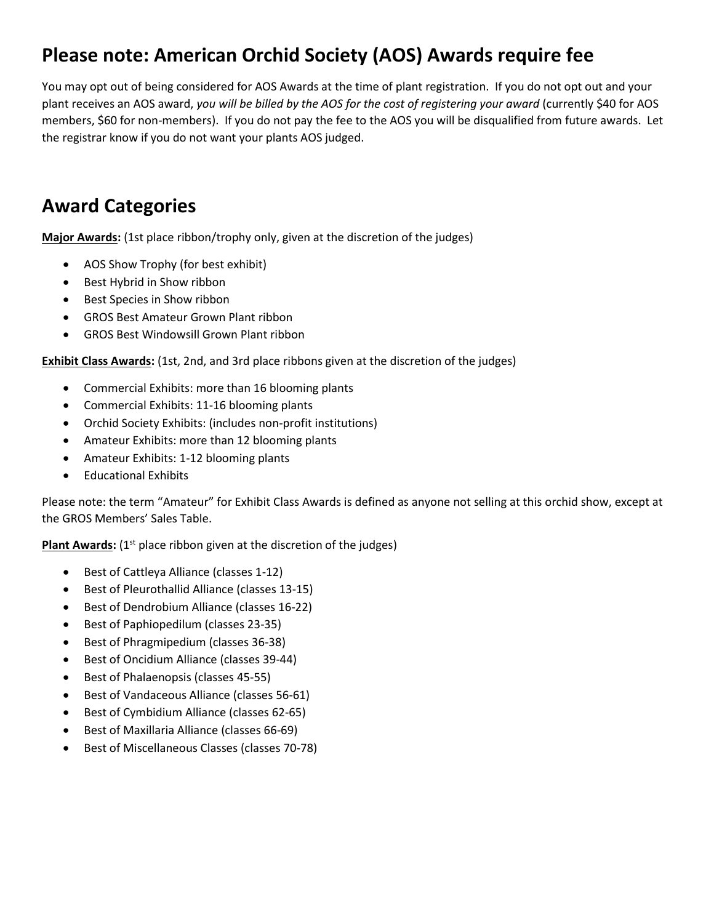# **Please note: American Orchid Society (AOS) Awards require fee**

You may opt out of being considered for AOS Awards at the time of plant registration. If you do not opt out and your plant receives an AOS award, *you will be billed by the AOS for the cost of registering your award* (currently \$40 for AOS members, \$60 for non-members). If you do not pay the fee to the AOS you will be disqualified from future awards. Let the registrar know if you do not want your plants AOS judged.

# **Award Categories**

**Major Awards:** (1st place ribbon/trophy only, given at the discretion of the judges)

- AOS Show Trophy (for best exhibit)
- Best Hybrid in Show ribbon
- Best Species in Show ribbon
- GROS Best Amateur Grown Plant ribbon
- GROS Best Windowsill Grown Plant ribbon

**Exhibit Class Awards:** (1st, 2nd, and 3rd place ribbons given at the discretion of the judges)

- Commercial Exhibits: more than 16 blooming plants
- Commercial Exhibits: 11-16 blooming plants
- Orchid Society Exhibits: (includes non-profit institutions)
- Amateur Exhibits: more than 12 blooming plants
- Amateur Exhibits: 1-12 blooming plants
- Educational Exhibits

Please note: the term "Amateur" for Exhibit Class Awards is defined as anyone not selling at this orchid show, except at the GROS Members' Sales Table.

Plant Awards: (1<sup>st</sup> place ribbon given at the discretion of the judges)

- Best of Cattleya Alliance (classes 1-12)
- Best of Pleurothallid Alliance (classes 13-15)
- Best of Dendrobium Alliance (classes 16-22)
- Best of Paphiopedilum (classes 23-35)
- Best of Phragmipedium (classes 36-38)
- Best of Oncidium Alliance (classes 39-44)
- Best of Phalaenopsis (classes 45-55)
- Best of Vandaceous Alliance (classes 56-61)
- Best of Cymbidium Alliance (classes 62-65)
- Best of Maxillaria Alliance (classes 66-69)
- Best of Miscellaneous Classes (classes 70-78)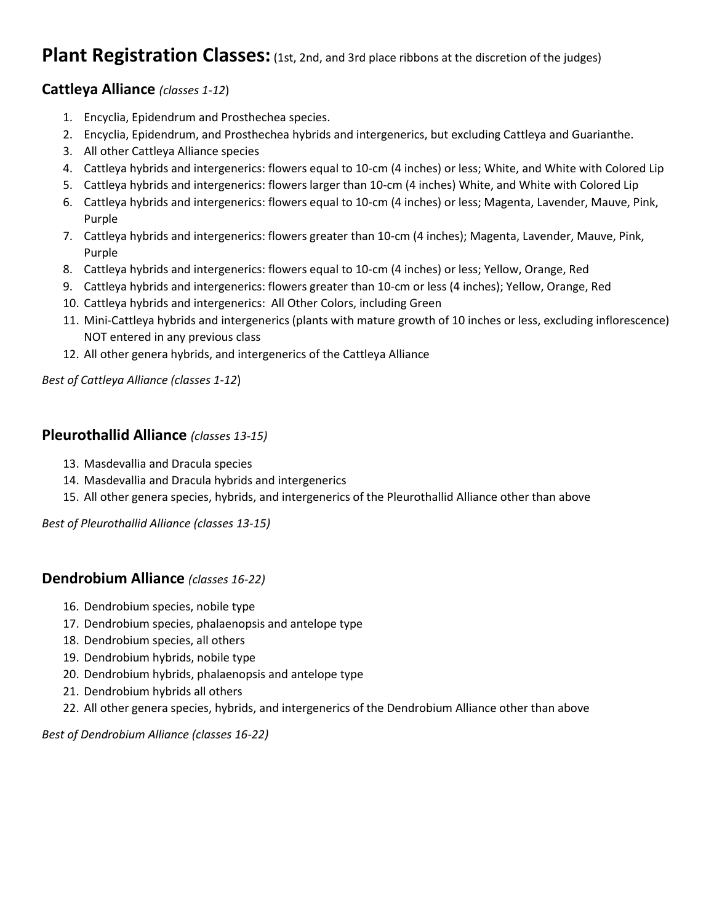### **Plant Registration Classes:** (1st, 2nd, and 3rd place ribbons at the discretion of the judges)

#### **Cattleya Alliance** *(classes 1-12*)

- 1. Encyclia, Epidendrum and Prosthechea species.
- 2. Encyclia, Epidendrum, and Prosthechea hybrids and intergenerics, but excluding Cattleya and Guarianthe.
- 3. All other Cattleya Alliance species
- 4. Cattleya hybrids and intergenerics: flowers equal to 10-cm (4 inches) or less; White, and White with Colored Lip
- 5. Cattleya hybrids and intergenerics: flowers larger than 10-cm (4 inches) White, and White with Colored Lip
- 6. Cattleya hybrids and intergenerics: flowers equal to 10-cm (4 inches) or less; Magenta, Lavender, Mauve, Pink, Purple
- 7. Cattleya hybrids and intergenerics: flowers greater than 10-cm (4 inches); Magenta, Lavender, Mauve, Pink, Purple
- 8. Cattleya hybrids and intergenerics: flowers equal to 10-cm (4 inches) or less; Yellow, Orange, Red
- 9. Cattleya hybrids and intergenerics: flowers greater than 10-cm or less (4 inches); Yellow, Orange, Red
- 10. Cattleya hybrids and intergenerics: All Other Colors, including Green
- 11. Mini-Cattleya hybrids and intergenerics (plants with mature growth of 10 inches or less, excluding inflorescence) NOT entered in any previous class
- 12. All other genera hybrids, and intergenerics of the Cattleya Alliance

*Best of Cattleya Alliance (classes 1-12*)

#### **Pleurothallid Alliance** *(classes 13-15)*

- 13. Masdevallia and Dracula species
- 14. Masdevallia and Dracula hybrids and intergenerics
- 15. All other genera species, hybrids, and intergenerics of the Pleurothallid Alliance other than above

*Best of Pleurothallid Alliance (classes 13-15)*

#### **Dendrobium Alliance** *(classes 16-22)*

- 16. Dendrobium species, nobile type
- 17. Dendrobium species, phalaenopsis and antelope type
- 18. Dendrobium species, all others
- 19. Dendrobium hybrids, nobile type
- 20. Dendrobium hybrids, phalaenopsis and antelope type
- 21. Dendrobium hybrids all others
- 22. All other genera species, hybrids, and intergenerics of the Dendrobium Alliance other than above

*Best of Dendrobium Alliance (classes 16-22)*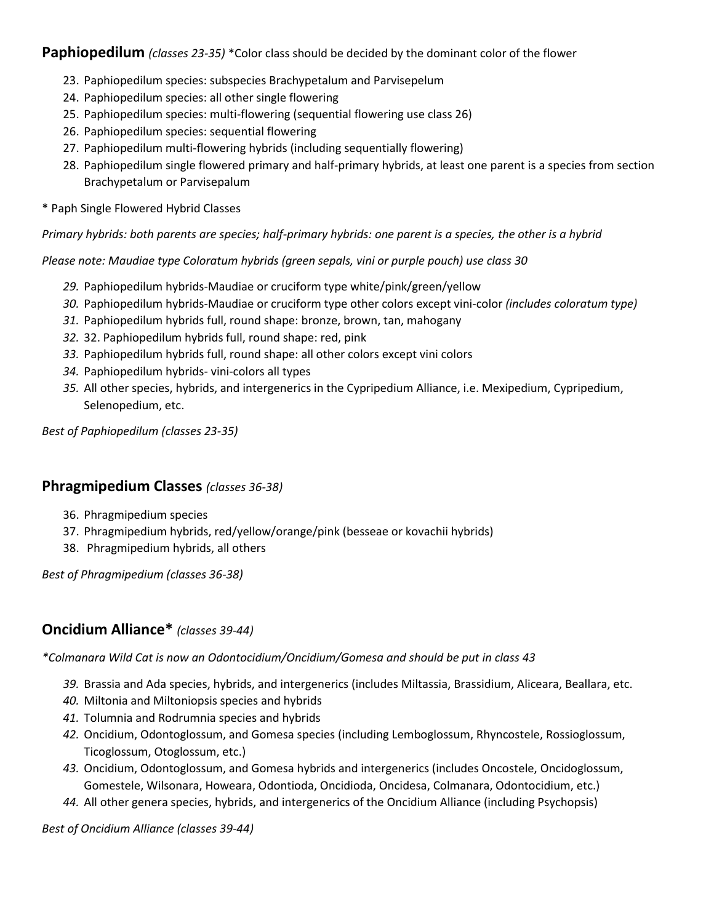**Paphiopedilum** *(classes 23-35)* \*Color class should be decided by the dominant color of the flower

- 23. Paphiopedilum species: subspecies Brachypetalum and Parvisepelum
- 24. Paphiopedilum species: all other single flowering
- 25. Paphiopedilum species: multi-flowering (sequential flowering use class 26)
- 26. Paphiopedilum species: sequential flowering
- 27. Paphiopedilum multi-flowering hybrids (including sequentially flowering)
- 28. Paphiopedilum single flowered primary and half-primary hybrids, at least one parent is a species from section Brachypetalum or Parvisepalum
- \* Paph Single Flowered Hybrid Classes

*Primary hybrids: both parents are species; half-primary hybrids: one parent is a species, the other is a hybrid* 

*Please note: Maudiae type Coloratum hybrids (green sepals, vini or purple pouch) use class 30*

- *29.* Paphiopedilum hybrids-Maudiae or cruciform type white/pink/green/yellow
- *30.* Paphiopedilum hybrids-Maudiae or cruciform type other colors except vini-color *(includes coloratum type)*
- *31.* Paphiopedilum hybrids full, round shape: bronze, brown, tan, mahogany
- *32.* 32. Paphiopedilum hybrids full, round shape: red, pink
- *33.* Paphiopedilum hybrids full, round shape: all other colors except vini colors
- *34.* Paphiopedilum hybrids- vini-colors all types
- *35.* All other species, hybrids, and intergenerics in the Cypripedium Alliance, i.e. Mexipedium, Cypripedium, Selenopedium, etc.

*Best of Paphiopedilum (classes 23-35)*

#### **Phragmipedium Classes** *(classes 36-38)*

- 36. Phragmipedium species
- 37. Phragmipedium hybrids, red/yellow/orange/pink (besseae or kovachii hybrids)
- 38. Phragmipedium hybrids, all others

*Best of Phragmipedium (classes 36-38)*

#### **Oncidium Alliance\*** *(classes 39-44)*

*\*Colmanara Wild Cat is now an Odontocidium/Oncidium/Gomesa and should be put in class 43*

- *39.* Brassia and Ada species, hybrids, and intergenerics (includes Miltassia, Brassidium, Aliceara, Beallara, etc.
- *40.* Miltonia and Miltoniopsis species and hybrids
- *41.* Tolumnia and Rodrumnia species and hybrids
- *42.* Oncidium, Odontoglossum, and Gomesa species (including Lemboglossum, Rhyncostele, Rossioglossum, Ticoglossum, Otoglossum, etc.)
- *43.* Oncidium, Odontoglossum, and Gomesa hybrids and intergenerics (includes Oncostele, Oncidoglossum, Gomestele, Wilsonara, Howeara, Odontioda, Oncidioda, Oncidesa, Colmanara, Odontocidium, etc.)
- *44.* All other genera species, hybrids, and intergenerics of the Oncidium Alliance (including Psychopsis)

*Best of Oncidium Alliance (classes 39-44)*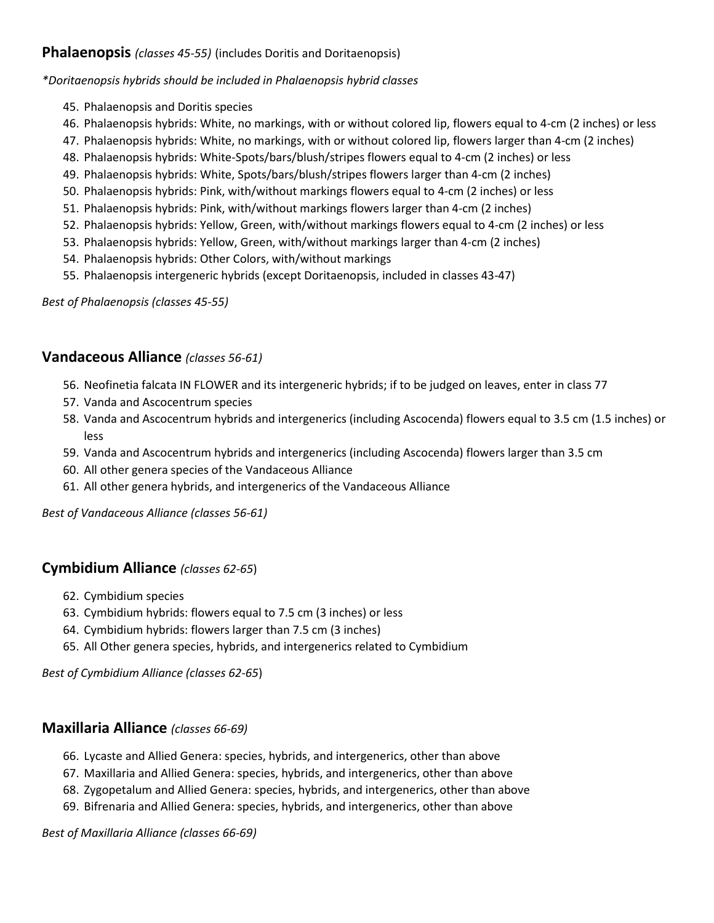#### **Phalaenopsis** *(classes 45-55)* (includes Doritis and Doritaenopsis)

*\*Doritaenopsis hybrids should be included in Phalaenopsis hybrid classes* 

- 45. Phalaenopsis and Doritis species
- 46. Phalaenopsis hybrids: White, no markings, with or without colored lip, flowers equal to 4-cm (2 inches) or less
- 47. Phalaenopsis hybrids: White, no markings, with or without colored lip, flowers larger than 4-cm (2 inches)
- 48. Phalaenopsis hybrids: White-Spots/bars/blush/stripes flowers equal to 4-cm (2 inches) or less
- 49. Phalaenopsis hybrids: White, Spots/bars/blush/stripes flowers larger than 4-cm (2 inches)
- 50. Phalaenopsis hybrids: Pink, with/without markings flowers equal to 4-cm (2 inches) or less
- 51. Phalaenopsis hybrids: Pink, with/without markings flowers larger than 4-cm (2 inches)
- 52. Phalaenopsis hybrids: Yellow, Green, with/without markings flowers equal to 4-cm (2 inches) or less
- 53. Phalaenopsis hybrids: Yellow, Green, with/without markings larger than 4-cm (2 inches)
- 54. Phalaenopsis hybrids: Other Colors, with/without markings
- 55. Phalaenopsis intergeneric hybrids (except Doritaenopsis, included in classes 43-47)

*Best of Phalaenopsis (classes 45-55)*

#### **Vandaceous Alliance** *(classes 56-61)*

- 56. Neofinetia falcata IN FLOWER and its intergeneric hybrids; if to be judged on leaves, enter in class 77
- 57. Vanda and Ascocentrum species
- 58. Vanda and Ascocentrum hybrids and intergenerics (including Ascocenda) flowers equal to 3.5 cm (1.5 inches) or less
- 59. Vanda and Ascocentrum hybrids and intergenerics (including Ascocenda) flowers larger than 3.5 cm
- 60. All other genera species of the Vandaceous Alliance
- 61. All other genera hybrids, and intergenerics of the Vandaceous Alliance

*Best of Vandaceous Alliance (classes 56-61)*

#### **Cymbidium Alliance** *(classes 62-65*)

- 62. Cymbidium species
- 63. Cymbidium hybrids: flowers equal to 7.5 cm (3 inches) or less
- 64. Cymbidium hybrids: flowers larger than 7.5 cm (3 inches)
- 65. All Other genera species, hybrids, and intergenerics related to Cymbidium

*Best of Cymbidium Alliance (classes 62-65*)

#### **Maxillaria Alliance** *(classes 66-69)*

- 66. Lycaste and Allied Genera: species, hybrids, and intergenerics, other than above
- 67. Maxillaria and Allied Genera: species, hybrids, and intergenerics, other than above
- 68. Zygopetalum and Allied Genera: species, hybrids, and intergenerics, other than above
- 69. Bifrenaria and Allied Genera: species, hybrids, and intergenerics, other than above

*Best of Maxillaria Alliance (classes 66-69)*